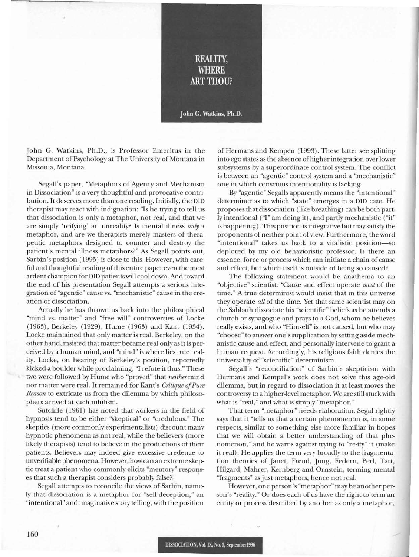

John G. Watkins, Ph.D., is Professor Emeritus in the Department of Psychology at The University of Montana in Missoula, Montana.

Segall's paper, "Metaphors of Agency and Mechanism in Dissociation" is a very thoughtful and provocative contribution. It deserves more than one reading. Initially, the DID therapist may react with indignation: "Is he trying to tell us that dissociation is only a metaphor, not real, and that we are simply 'reifying' an unreality? Is mental illness *only* a metaphor, and are we therapists merely masters of therapeutic metaphors designed to counter and destroy the patient's mental illness metaphors?" As Segall points out, Sarbin's position (1995) is close to this. However, with careful and thoughtful reading of this entire paper even the most ardent champion for DID patients will cool down. And toward the end of his presentation Segall attempts a serious integration of "agentic" cause vs. "mechanistic" cause in the creation of dissociation.

Actually he has thrown us back into the philosophical "mind vs. matter" and "free will" controversies of Locke (1963), Berkeley (1929), Hume (1963) and Kant (1934). Locke maintained that only matter is real. Berkeley, on the other hand, insisted that matter became real only as it is perceived by a human mind, and "mind" is where lies true reality. Locke, on hearing of Berkeley's position, reportedly kicked a boulder while proclaiming, "I refute it thus."These two were followed by Hume who "proved" that *neither* mind nor matter were real. It remained for Kant's *Critique of Pure Reason* to extricate us from the dilemma by which philosophers arrived at such nihilism.

Sutcliffe (1961) has noted that workers in the field of hypnosis tend to be either "skeptical" or "credulous." The skeptics (more commonly experimentalists) discount many hypnotic phenomena as not real, while the believers (more likely therapists) tend to believe in the productions of their patients. Believers may indeed give excessive credence to unverifiable phenomena. However, how can an extreme skeptic treat a patient who commonly elicits "memory" responses that such a therapist considers probably false? .

Segall attempts to reconcile the views of Sarbin, namely that dissociation is a metaphor for "self-deception," an "intentional" and imaginative story telling, with the position

of Hermans and Kempen (1993). These latter see splitting into ego states as the absence ofhigher integration over lower subsystems by a superordinate control system. The conflict is between an "agentic" control system and a "mechanistic" one in which conscious intentionality is lacking.

By "agentic" Segalls apparently means the "intentional" determiner as to which "state" emerges in a DID case. He proposes that dissociation (like breathing) can be both partly intentional ("1" am doing it), and partly mechanistic ("it" is happening). This position is integrative but may satisfy the proponents of neither point of view. Furthermore, the word "intentional" takes us back to a vitalistic position-so deplored by my old behavioristic professor. Is there an essence, force or process which can initiate a chain of cause and effect, but which itself is outside of being so caused?

The following statement would be anathema to an "objective" scientist: "Cause and effect operate *most* of the time." A true determinist would insist that in this universe they operate *all* of the time. Yet that same scientist may on the Sabbath dissociate his "scientific" beliefs as he attends a church or synagogue and prays to a God, whom he believes really exists, and who "Himself' is not caused, but who may "choose" to answer one'ssupplication by setting aside mechanistic cause and effect, and personally intervene to grant a human request. Accordingly, his religious faith denies the universality of "scientific" determinism.

Segall's "reconciliation" of Sarbin's skepticism with Hermans and Kempel's work does not solve this age-old dilemma, but in regard to dissociation it at least moves the controversy to a higher-level metaphor. We are still stuck with what is "real," and what is simply "metaphor."

That term "metaphor" needs elaboration. Segal rightly says that it "tells us that a certain phenomenon is, in some respects, similar to something else more familiar in hopes that we \vill obtain a better understanding of that phenomenon," and he warns against trying to "re-ify" it (make it real). He applies the term very broadly to the fragmentation theories of Janet, Freud, Jung, Federn, Perl, Tart, Hilgard, Mahrer, Kernberg and Ornstein, terming mental "fragments" as just metaphors, hence not real.

However, one person's "metaphor" may be another person's "reality." Or does each of us have the right to term an entity or process described by another as only a metaphor,